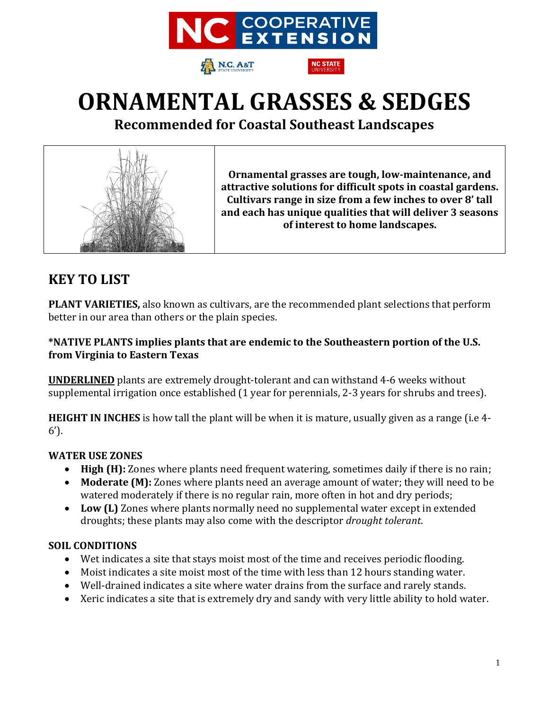

N.C. A&T



**Recommended for Coastal Southeast Landscapes**



**Ornamental grasses are tough, low-maintenance, and attractive solutions for difficult spots in coastal gardens. Cultivars range in size from a few inches to over 8' tall and each has unique qualities that will deliver 3 seasons of interest to home landscapes.** 

## **KEY TO LIST**

**PLANT VARIETIES,** also known as cultivars, are the recommended plant selections that perform better in our area than others or the plain species.

### **\*NATIVE PLANTS implies plants that are endemic to the Southeastern portion of the U.S. from Virginia to Eastern Texas**

**UNDERLINED** plants are extremely drought-tolerant and can withstand 4-6 weeks without supplemental irrigation once established (1 year for perennials, 2-3 years for shrubs and trees).

**HEIGHT IN INCHES** is how tall the plant will be when it is mature, usually given as a range (i.e 4- 6').

### **WATER USE ZONES**

- **High (H):** Zones where plants need frequent watering, sometimes daily if there is no rain;
- **Moderate (M):** Zones where plants need an average amount of water; they will need to be watered moderately if there is no regular rain, more often in hot and dry periods;
- **Low (L)** Zones where plants normally need no supplemental water except in extended droughts; these plants may also come with the descriptor *drought tolerant*.

### **SOIL CONDITIONS**

- Wet indicates a site that stays moist most of the time and receives periodic flooding.
- Moist indicates a site moist most of the time with less than 12 hours standing water.
- Well-drained indicates a site where water drains from the surface and rarely stands.
- Xeric indicates a site that is extremely dry and sandy with very little ability to hold water.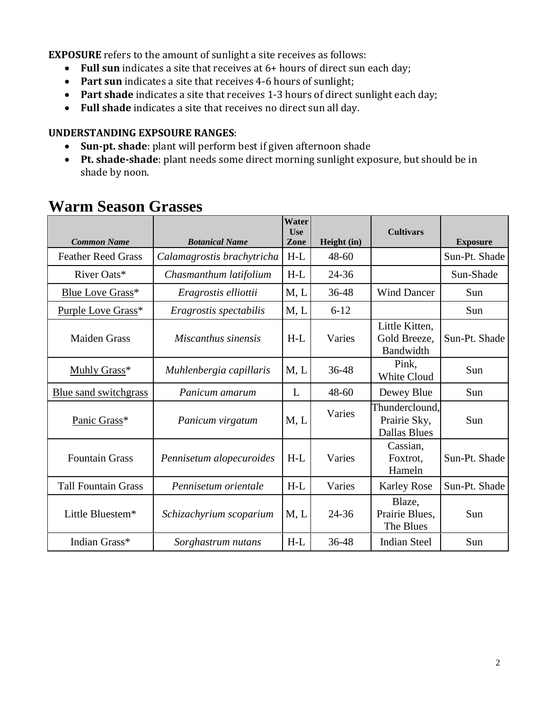**EXPOSURE** refers to the amount of sunlight a site receives as follows:

- **Full sun** indicates a site that receives at 6+ hours of direct sun each day;
- **Part sun** indicates a site that receives 4-6 hours of sunlight;
- **Part shade** indicates a site that receives 1-3 hours of direct sunlight each day;
- **Full shade** indicates a site that receives no direct sun all day.

#### **UNDERSTANDING EXPSOURE RANGES**:

- **Sun-pt. shade**: plant will perform best if given afternoon shade
- **Pt. shade-shade**: plant needs some direct morning sunlight exposure, but should be in shade by noon.

| <b>Common Name</b>         | <b>Botanical Name</b>      | Water<br>Use<br>Zone | Height (in) | <b>Cultivars</b>                                      | <b>Exposure</b> |
|----------------------------|----------------------------|----------------------|-------------|-------------------------------------------------------|-----------------|
| <b>Feather Reed Grass</b>  | Calamagrostis brachytricha | $H-L$                | $48 - 60$   |                                                       | Sun-Pt. Shade   |
| River Oats*                | Chasmanthum latifolium     | $H-L$                | $24 - 36$   |                                                       | Sun-Shade       |
| <b>Blue Love Grass</b> *   | Eragrostis elliottii       | M, L                 | 36-48       | <b>Wind Dancer</b>                                    | Sun             |
| Purple Love Grass*         | Eragrostis spectabilis     | M, L                 | $6 - 12$    |                                                       | Sun             |
| <b>Maiden Grass</b>        | Miscanthus sinensis        | $H-L$                | Varies      | Little Kitten,<br>Gold Breeze,<br>Bandwidth           | Sun-Pt. Shade   |
| Muhly Grass*               | Muhlenbergia capillaris    | M, L                 | 36-48       | Pink,<br>White Cloud                                  | Sun             |
| Blue sand switchgrass      | Panicum amarum             | L                    | $48 - 60$   | Dewey Blue                                            | Sun             |
| Panic Grass*               | Panicum virgatum           | M, L                 | Varies      | Thunderclound,<br>Prairie Sky,<br><b>Dallas Blues</b> | Sun             |
| <b>Fountain Grass</b>      | Pennisetum alopecuroides   | $H-L$                | Varies      | Cassian,<br>Foxtrot,<br>Hameln                        | Sun-Pt. Shade   |
| <b>Tall Fountain Grass</b> | Pennisetum orientale       | $H-L$                | Varies      | <b>Karley Rose</b>                                    | Sun-Pt. Shade   |
| Little Bluestem*           | Schizachyrium scoparium    | M, L                 | 24-36       | Blaze,<br>Prairie Blues,<br>The Blues                 | Sun             |
| Indian Grass*              | Sorghastrum nutans         | $H-L$                | 36-48       | <b>Indian Steel</b>                                   | Sun             |

## **Warm Season Grasses**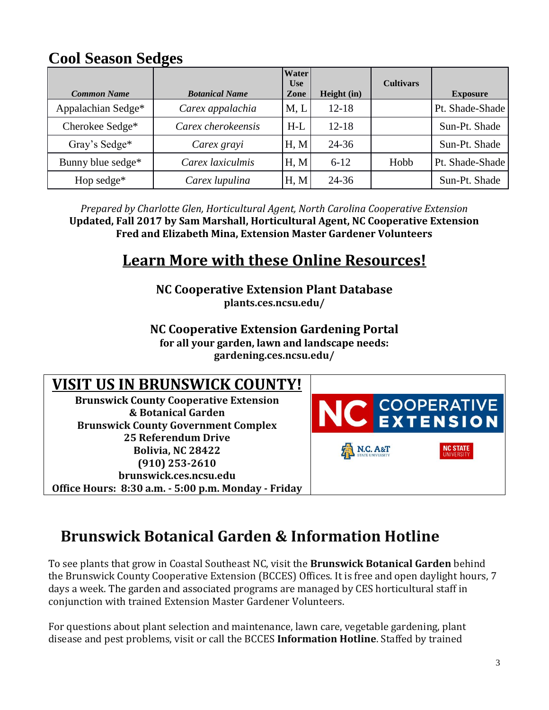## **Cool Season Sedges**

| <b>Common Name</b> | <b>Botanical Name</b> | <b>Water</b><br><b>Use</b><br>Zone | Height (in) | <b>Cultivars</b> | <b>Exposure</b> |
|--------------------|-----------------------|------------------------------------|-------------|------------------|-----------------|
| Appalachian Sedge* | Carex appalachia      | M, L                               | $12 - 18$   |                  | Pt. Shade-Shade |
| Cherokee Sedge*    | Carex cherokeensis    | $H-L$                              | $12 - 18$   |                  | Sun-Pt. Shade   |
| Gray's Sedge*      | Carex grayi           | H, M                               | $24 - 36$   |                  | Sun-Pt. Shade   |
| Bunny blue sedge*  | Carex laxiculmis      | H, M                               | $6 - 12$    | Hobb             | Pt. Shade-Shade |
| Hop sedge*         | Carex lupulina        | H, M                               | $24 - 36$   |                  | Sun-Pt. Shade   |

*Prepared by Charlotte Glen, Horticultural Agent, North Carolina Cooperative Extension* **Updated, Fall 2017 by Sam Marshall, Horticultural Agent, NC Cooperative Extension Fred and Elizabeth Mina, Extension Master Gardener Volunteers**

## **Learn More with these Online Resources!**

**NC Cooperative Extension Plant Database plants.ces.ncsu.edu/**

**NC Cooperative Extension Gardening Portal**

**for all your garden, lawn and landscape needs:**

**gardening.ces.ncsu.edu/**

## **VISIT US IN BRUNSWICK COUNTY!**

**Brunswick County Cooperative Extension & Botanical Garden Brunswick County Government Complex 25 Referendum Drive Bolivia, NC 28422 (910) 253-2610 brunswick.ces.ncsu.edu Office Hours: 8:30 a.m. - 5:00 p.m. Monday - Friday**



# **Brunswick Botanical Garden & Information Hotline**

To see plants that grow in Coastal Southeast NC, visit the **Brunswick Botanical Garden** behind the Brunswick County Cooperative Extension (BCCES) Offices. It is free and open daylight hours, 7 days a week. The garden and associated programs are managed by CES horticultural staff in conjunction with trained Extension Master Gardener Volunteers.

For questions about plant selection and maintenance, lawn care, vegetable gardening, plant disease and pest problems, visit or call the BCCES **Information Hotline**. Staffed by trained